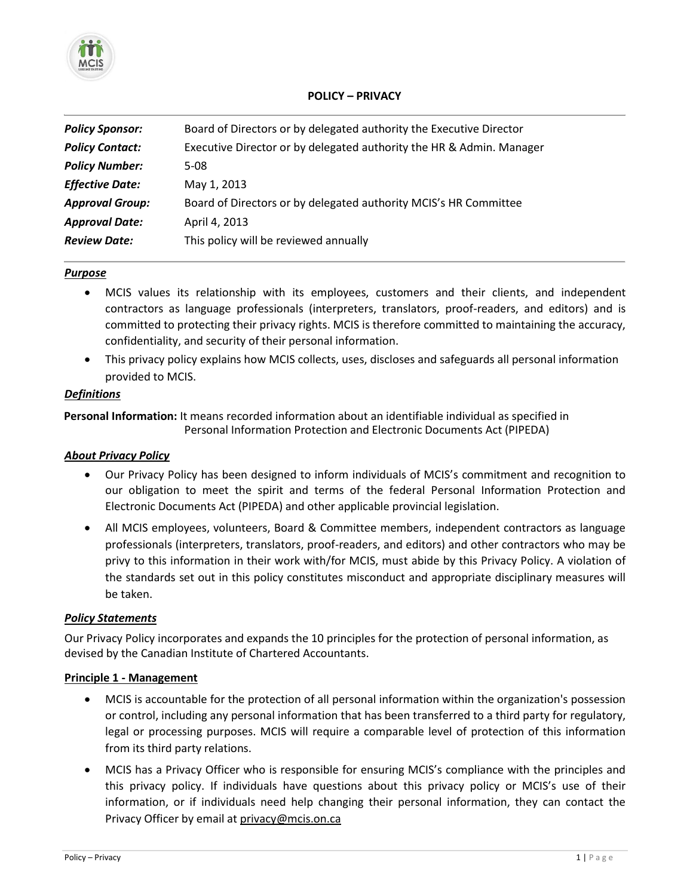

# **POLICY – PRIVACY**

| <b>Policy Sponsor:</b> | Board of Directors or by delegated authority the Executive Director  |
|------------------------|----------------------------------------------------------------------|
| <b>Policy Contact:</b> | Executive Director or by delegated authority the HR & Admin. Manager |
| <b>Policy Number:</b>  | 5-08                                                                 |
| <b>Effective Date:</b> | May 1, 2013                                                          |
| <b>Approval Group:</b> | Board of Directors or by delegated authority MCIS's HR Committee     |
| <b>Approval Date:</b>  | April 4, 2013                                                        |
| <b>Review Date:</b>    | This policy will be reviewed annually                                |

### *Purpose*

- MCIS values its relationship with its employees, customers and their clients, and independent contractors as language professionals (interpreters, translators, proof-readers, and editors) and is committed to protecting their privacy rights. MCIS is therefore committed to maintaining the accuracy, confidentiality, and security of their personal information.
- This privacy policy explains how MCIS collects, uses, discloses and safeguards all personal information provided to MCIS.

# *Definitions*

**Personal Information:** It means recorded information about an identifiable individual as specified in Personal Information Protection and Electronic Documents Act (PIPEDA)

## *About Privacy Policy*

- Our Privacy Policy has been designed to inform individuals of MCIS's commitment and recognition to our obligation to meet the spirit and terms of the federal Personal Information Protection and Electronic Documents Act (PIPEDA) and other applicable provincial legislation.
- All MCIS employees, volunteers, Board & Committee members, independent contractors as language professionals (interpreters, translators, proof-readers, and editors) and other contractors who may be privy to this information in their work with/for MCIS, must abide by this Privacy Policy. A violation of the standards set out in this policy constitutes misconduct and appropriate disciplinary measures will be taken.

## *Policy Statements*

Our Privacy Policy incorporates and expands the 10 principles for the protection of personal information, as devised by the Canadian Institute of Chartered Accountants.

## **Principle 1 - Management**

- MCIS is accountable for the protection of all personal information within the organization's possession or control, including any personal information that has been transferred to a third party for regulatory, legal or processing purposes. MCIS will require a comparable level of protection of this information from its third party relations.
- MCIS has a Privacy Officer who is responsible for ensuring MCIS's compliance with the principles and this privacy policy. If individuals have questions about this privacy policy or MCIS's use of their information, or if individuals need help changing their personal information, they can contact the Privacy Officer by email at privacy@mcis.on.ca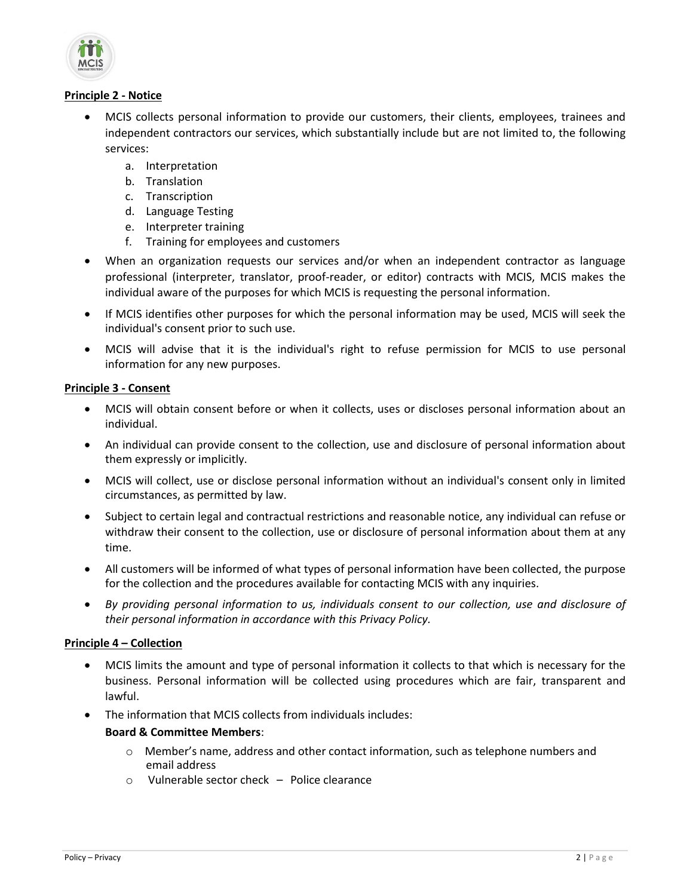

# **Principle 2 - Notice**

- MCIS collects personal information to provide our customers, their clients, employees, trainees and independent contractors our services, which substantially include but are not limited to, the following services:
	- a. Interpretation
	- b. Translation
	- c. Transcription
	- d. Language Testing
	- e. Interpreter training
	- f. Training for employees and customers
- When an organization requests our services and/or when an independent contractor as language professional (interpreter, translator, proof-reader, or editor) contracts with MCIS, MCIS makes the individual aware of the purposes for which MCIS is requesting the personal information.
- If MCIS identifies other purposes for which the personal information may be used, MCIS will seek the individual's consent prior to such use.
- MCIS will advise that it is the individual's right to refuse permission for MCIS to use personal information for any new purposes.

# **Principle 3 - Consent**

- MCIS will obtain consent before or when it collects, uses or discloses personal information about an individual.
- An individual can provide consent to the collection, use and disclosure of personal information about them expressly or implicitly.
- MCIS will collect, use or disclose personal information without an individual's consent only in limited circumstances, as permitted by law.
- Subject to certain legal and contractual restrictions and reasonable notice, any individual can refuse or withdraw their consent to the collection, use or disclosure of personal information about them at any time.
- All customers will be informed of what types of personal information have been collected, the purpose for the collection and the procedures available for contacting MCIS with any inquiries.
- *By providing personal information to us, individuals consent to our collection, use and disclosure of their personal information in accordance with this Privacy Policy.*

# **Principle 4 – Collection**

- MCIS limits the amount and type of personal information it collects to that which is necessary for the business. Personal information will be collected using procedures which are fair, transparent and lawful.
- The information that MCIS collects from individuals includes:

# **Board & Committee Members**:

- o Member's name, address and other contact information, such as telephone numbers and email address
- $\circ$  Vulnerable sector check Police clearance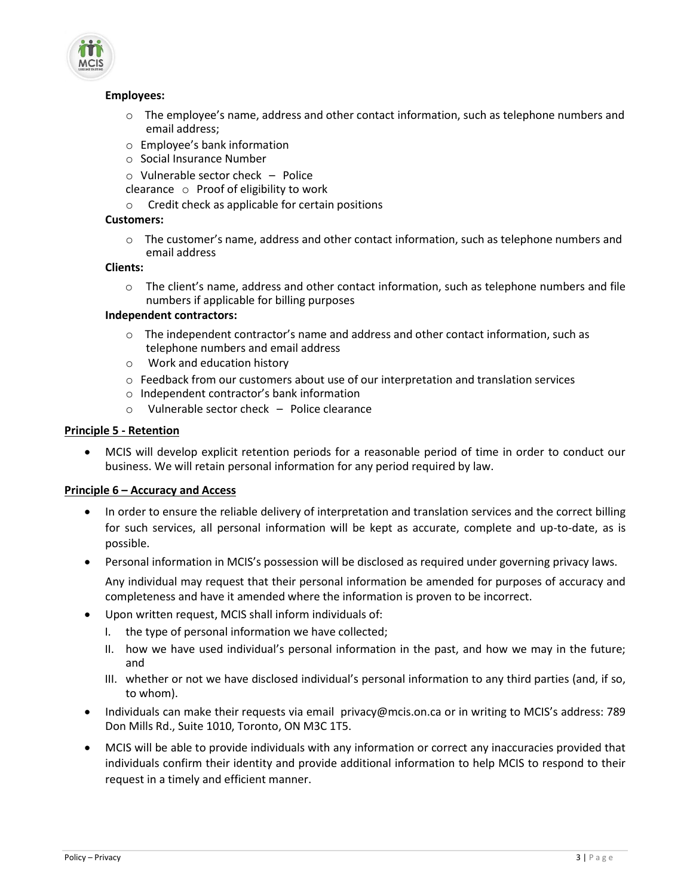

### **Employees:**

- $\circ$  The employee's name, address and other contact information, such as telephone numbers and email address;
- o Employee's bank information
- o Social Insurance Number
- o Vulnerable sector check Police
- clearance o Proof of eligibility to work
- o Credit check as applicable for certain positions

#### **Customers:**

o The customer's name, address and other contact information, such as telephone numbers and email address

# **Clients:**

 $\circ$  The client's name, address and other contact information, such as telephone numbers and file numbers if applicable for billing purposes

### **Independent contractors:**

- $\circ$  The independent contractor's name and address and other contact information, such as telephone numbers and email address
- o Work and education history
- o Feedback from our customers about use of our interpretation and translation services
- o Independent contractor's bank information
- o Vulnerable sector check Police clearance

### **Principle 5 - Retention**

 MCIS will develop explicit retention periods for a reasonable period of time in order to conduct our business. We will retain personal information for any period required by law.

#### **Principle 6 – Accuracy and Access**

- In order to ensure the reliable delivery of interpretation and translation services and the correct billing for such services, all personal information will be kept as accurate, complete and up-to-date, as is possible.
- Personal information in MCIS's possession will be disclosed as required under governing privacy laws.

Any individual may request that their personal information be amended for purposes of accuracy and completeness and have it amended where the information is proven to be incorrect.

- Upon written request, MCIS shall inform individuals of:
	- I. the type of personal information we have collected;
	- II. how we have used individual's personal information in the past, and how we may in the future; and
	- III. whether or not we have disclosed individual's personal information to any third parties (and, if so, to whom).
- Individuals can make their requests via email [privacy@mcis.on.ca](mailto:multiling@mcis.on.ca) or in writing to MCIS's address: 789 Don Mills Rd., Suite 1010, Toronto, ON M3C 1T5.
- MCIS will be able to provide individuals with any information or correct any inaccuracies provided that individuals confirm their identity and provide additional information to help MCIS to respond to their request in a timely and efficient manner.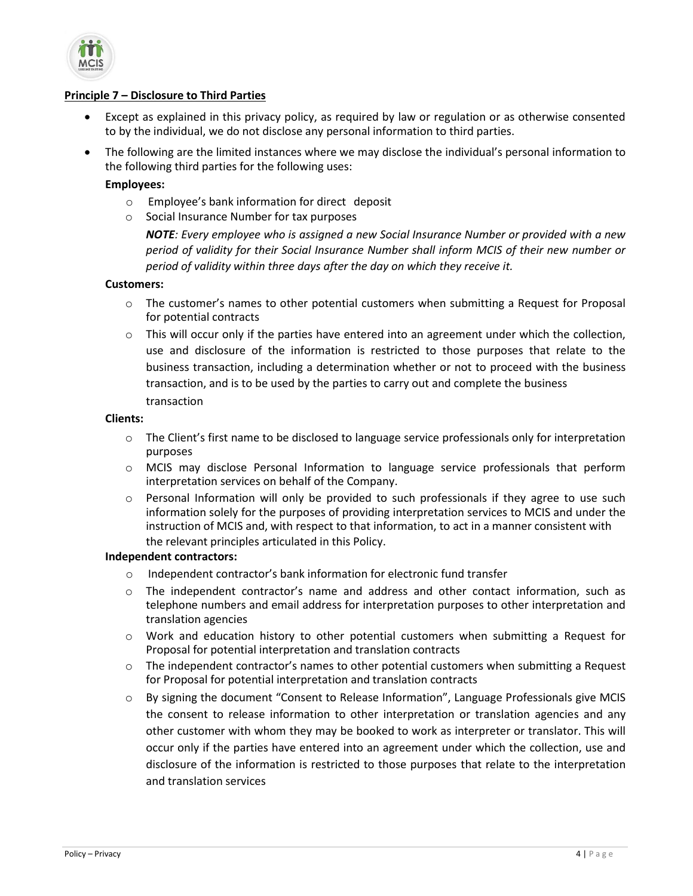

### **Principle 7 – Disclosure to Third Parties**

- Except as explained in this privacy policy, as required by law or regulation or as otherwise consented to by the individual, we do not disclose any personal information to third parties.
- The following are the limited instances where we may disclose the individual's personal information to the following third parties for the following uses:

### **Employees:**

- o Employee's bank information for direct deposit
- o Social Insurance Number for tax purposes

*NOTE: Every employee who is assigned a new Social Insurance Number or provided with a new period of validity for their Social Insurance Number shall inform MCIS of their new number or period of validity within three days after the day on which they receive it.*

#### **Customers:**

- o The customer's names to other potential customers when submitting a Request for Proposal for potential contracts
- $\circ$  This will occur only if the parties have entered into an agreement under which the collection, use and disclosure of the information is restricted to those purposes that relate to the business transaction, including a determination whether or not to proceed with the business transaction, and is to be used by the parties to carry out and complete the business transaction

#### **Clients:**

- $\circ$  The Client's first name to be disclosed to language service professionals only for interpretation purposes
- o MCIS may disclose Personal Information to language service professionals that perform interpretation services on behalf of the Company.
- $\circ$  Personal Information will only be provided to such professionals if they agree to use such information solely for the purposes of providing interpretation services to MCIS and under the instruction of MCIS and, with respect to that information, to act in a manner consistent with the relevant principles articulated in this Policy.

#### **Independent contractors:**

- o Independent contractor's bank information for electronic fund transfer
- $\circ$  The independent contractor's name and address and other contact information, such as telephone numbers and email address for interpretation purposes to other interpretation and translation agencies
- o Work and education history to other potential customers when submitting a Request for Proposal for potential interpretation and translation contracts
- $\circ$  The independent contractor's names to other potential customers when submitting a Request for Proposal for potential interpretation and translation contracts
- o By signing the document "Consent to Release Information", Language Professionals give MCIS the consent to release information to other interpretation or translation agencies and any other customer with whom they may be booked to work as interpreter or translator. This will occur only if the parties have entered into an agreement under which the collection, use and disclosure of the information is restricted to those purposes that relate to the interpretation and translation services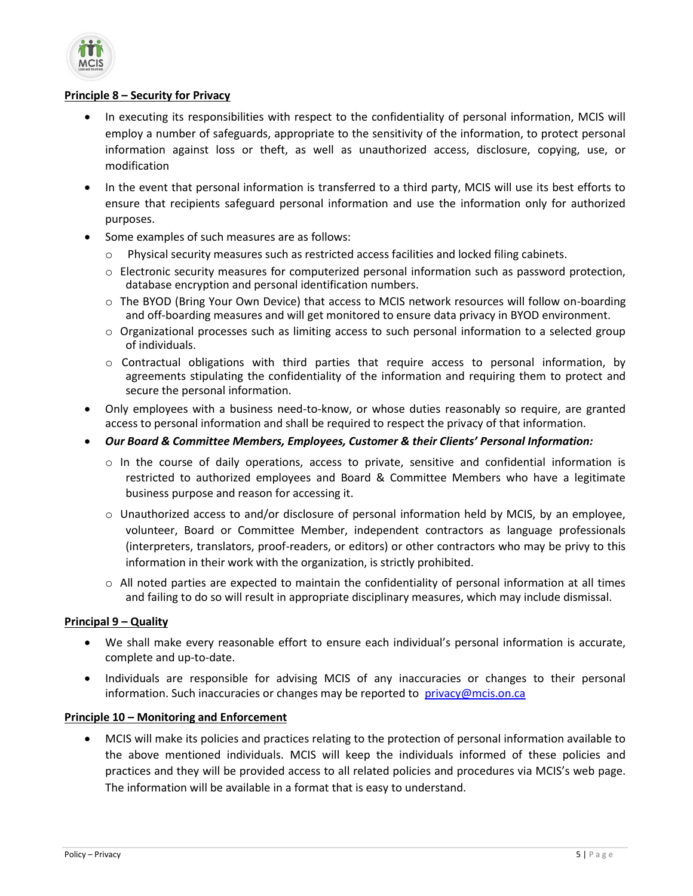

## **Principle 8 – Security for Privacy**

- In executing its responsibilities with respect to the confidentiality of personal information, MCIS will employ a number of safeguards, appropriate to the sensitivity of the information, to protect personal information against loss or theft, as well as unauthorized access, disclosure, copying, use, or modification
- In the event that personal information is transferred to a third party, MCIS will use its best efforts to ensure that recipients safeguard personal information and use the information only for authorized purposes.
- Some examples of such measures are as follows:
	- o Physical security measures such as restricted access facilities and locked filing cabinets.
	- $\circ$  Electronic security measures for computerized personal information such as password protection, database encryption and personal identification numbers.
	- o The BYOD (Bring Your Own Device) that access to MCIS network resources will follow on-boarding and off-boarding measures and will get monitored to ensure data privacy in BYOD environment.
	- o Organizational processes such as limiting access to such personal information to a selected group of individuals.
	- $\circ$  Contractual obligations with third parties that require access to personal information, by agreements stipulating the confidentiality of the information and requiring them to protect and secure the personal information.
- Only employees with a business need-to-know, or whose duties reasonably so require, are granted access to personal information and shall be required to respect the privacy of that information.
- *Our Board & Committee Members, Employees, Customer & their Clients' Personal Information:* 
	- o In the course of daily operations, access to private, sensitive and confidential information is restricted to authorized employees and Board & Committee Members who have a legitimate business purpose and reason for accessing it.
	- o Unauthorized access to and/or disclosure of personal information held by MCIS, by an employee, volunteer, Board or Committee Member, independent contractors as language professionals (interpreters, translators, proof-readers, or editors) or other contractors who may be privy to this information in their work with the organization, is strictly prohibited.
	- o All noted parties are expected to maintain the confidentiality of personal information at all times and failing to do so will result in appropriate disciplinary measures, which may include dismissal.

## **Principal 9 – Quality**

- We shall make every reasonable effort to ensure each individual's personal information is accurate, complete and up-to-date.
- Individuals are responsible for advising MCIS of any inaccuracies or changes to their personal information. Such inaccuracies or changes may be reported to [privacy@mcis.on.ca](mailto:multiling@mcis.on.ca)

## **Principle 10 – Monitoring and Enforcement**

 MCIS will make its policies and practices relating to the protection of personal information available to the above mentioned individuals. MCIS will keep the individuals informed of these policies and practices and they will be provided access to all related policies and procedures via MCIS's web page. The information will be available in a format that is easy to understand.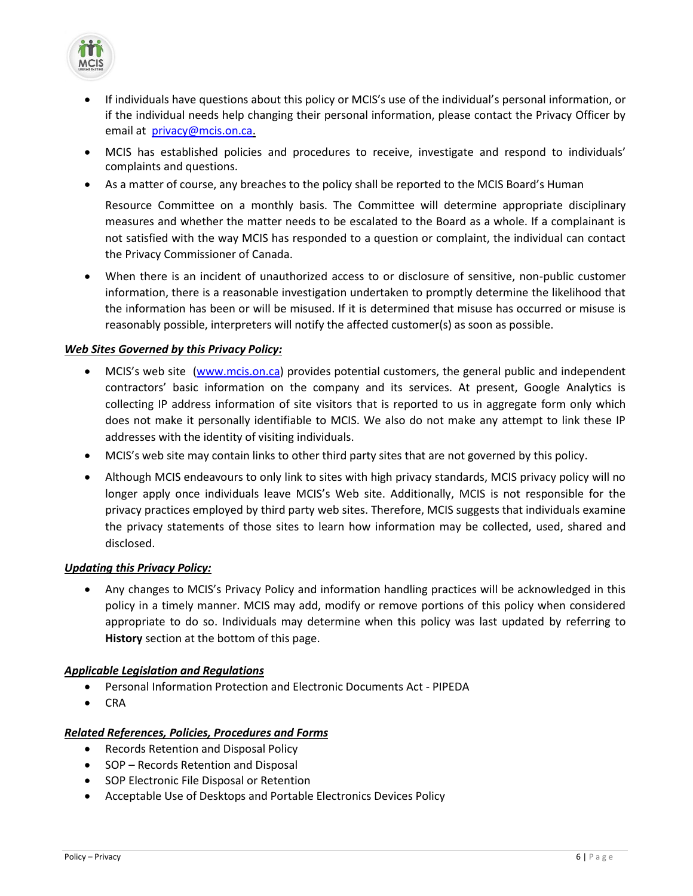

- If individuals have questions about this policy or MCIS's use of the individual's personal information, or if the individual needs help changing their personal information, please contact the Privacy Officer by email a[t privacy@mcis.on.ca.](mailto:multiling@mcis.on.ca)
- MCIS has established policies and procedures to receive, investigate and respond to individuals' complaints and questions.
- As a matter of course, any breaches to the policy shall be reported to the MCIS Board's Human

Resource Committee on a monthly basis. The Committee will determine appropriate disciplinary measures and whether the matter needs to be escalated to the Board as a whole. If a complainant is not satisfied with the way MCIS has responded to a question or complaint, the individual can contact the Privacy Commissioner of Canada.

 When there is an incident of unauthorized access to or disclosure of sensitive, non-public customer information, there is a reasonable investigation undertaken to promptly determine the likelihood that the information has been or will be misused. If it is determined that misuse has occurred or misuse is reasonably possible, interpreters will notify the affected customer(s) as soon as possible.

# *Web Sites Governed by this Privacy Policy:*

- MCIS's web site [\(www.mcis.on.ca\)](http://www.mcis.on.ca/) provides potential customers, the general public and independent contractors' basic information on the company and its services. At present, Google Analytics is collecting IP address information of site visitors that is reported to us in aggregate form only which does not make it personally identifiable to MCIS. We also do not make any attempt to link these IP addresses with the identity of visiting individuals.
- MCIS's web site may contain links to other third party sites that are not governed by this policy.
- Although MCIS endeavours to only link to sites with high privacy standards, MCIS privacy policy will no longer apply once individuals leave MCIS's Web site. Additionally, MCIS is not responsible for the privacy practices employed by third party web sites. Therefore, MCIS suggests that individuals examine the privacy statements of those sites to learn how information may be collected, used, shared and disclosed.

## *Updating this Privacy Policy:*

 Any changes to MCIS's Privacy Policy and information handling practices will be acknowledged in this policy in a timely manner. MCIS may add, modify or remove portions of this policy when considered appropriate to do so. Individuals may determine when this policy was last updated by referring to **History** section at the bottom of this page.

## *Applicable Legislation and Regulations*

- Personal Information Protection and Electronic Documents Act PIPEDA
- CRA

## *Related References, Policies, Procedures and Forms*

- Records Retention and Disposal Policy
- SOP Records Retention and Disposal
- **•** SOP Electronic File Disposal or Retention
- Acceptable Use of Desktops and Portable Electronics Devices Policy